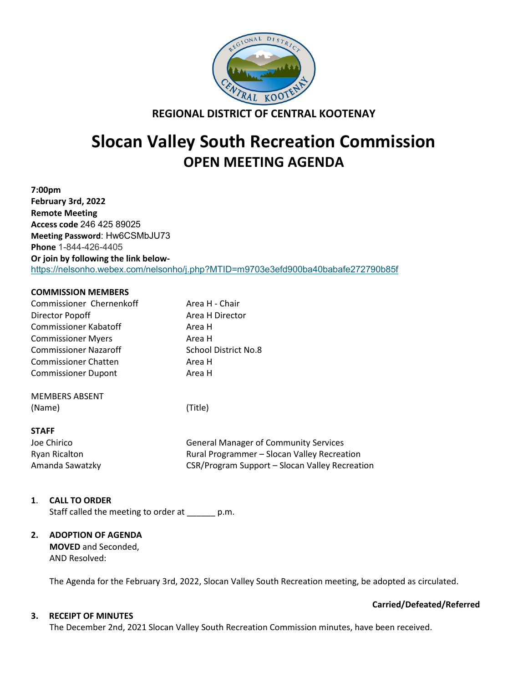

**REGIONAL DISTRICT OF CENTRAL KOOTENAY**

# **Slocan Valley South Recreation Commission OPEN MEETING AGENDA**

**7:00pm February 3rd, 2022 Remote Meeting Access code** 246 425 89025 **Meeting Password**: Hw6CSMbJU73 **Phone** 1-844-426-4405 **Or join by following the link below**<https://nelsonho.webex.com/nelsonho/j.php?MTID=m9703e3efd900ba40babafe272790b85f>

# **COMMISSION MEMBERS**

| Commissioner Chernenkoff     | Area H - Chair                                 |
|------------------------------|------------------------------------------------|
| Director Popoff              | Area H Director                                |
| <b>Commissioner Kabatoff</b> | Area H                                         |
| <b>Commissioner Myers</b>    | Area H                                         |
| <b>Commissioner Nazaroff</b> | School District No.8                           |
| <b>Commissioner Chatten</b>  | Area H                                         |
| <b>Commissioner Dupont</b>   | Area H                                         |
| <b>MEMBERS ABSENT</b>        |                                                |
| (Name)                       | (Title)                                        |
| <b>STAFF</b>                 |                                                |
| Joe Chirico                  | <b>General Manager of Community Services</b>   |
| Ryan Ricalton                | Rural Programmer - Slocan Valley Recreation    |
| Amanda Sawatzky              | CSR/Program Support – Slocan Valley Recreation |

# **1**. **CALL TO ORDER**

Staff called the meeting to order at p.m.

# **2. ADOPTION OF AGENDA**

**MOVED** and Seconded, AND Resolved:

The Agenda for the February 3rd, 2022, Slocan Valley South Recreation meeting, be adopted as circulated.

# **3. RECEIPT OF MINUTES**

The December 2nd, 2021 Slocan Valley South Recreation Commission minutes, have been received.

# **Carried/Defeated/Referred**